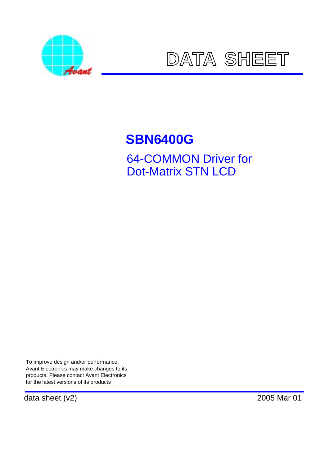



# **SBN6400G** 64-COMMON Driver for Dot-Matrix STN LCD

To improve design and/or performance, Avant Electronics may make changes to its products. Please contact Avant Electronics for the latest versions of its products

data sheet (v2) 2005 Mar 01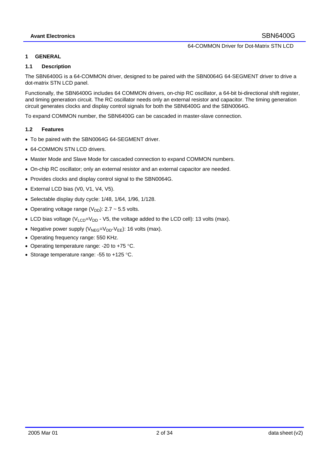#### **1 GENERAL**

#### **1.1 Description**

The SBN6400G is a 64-COMMON driver, designed to be paired with the SBN0064G 64-SEGMENT driver to drive a dot-matrix STN LCD panel.

Functionally, the SBN6400G includes 64 COMMON drivers, on-chip RC oscillator, a 64-bit bi-directional shift register, and timing generation circuit. The RC oscillator needs only an external resistor and capacitor. The timing generation circuit generates clocks and display control signals for both the SBN6400G and the SBN0064G.

To expand COMMON number, the SBN6400G can be cascaded in master-slave connection.

#### **1.2 Features**

- To be paired with the SBN0064G 64-SEGMENT driver.
- 64-COMMON STN LCD drivers
- Master Mode and Slave Mode for cascaded connection to expand COMMON numbers.
- On-chip RC oscillator; only an external resistor and an external capacitor are needed.
- Provides clocks and display control signal to the SBN0064G.
- External LCD bias (V0, V1, V4, V5).
- Selectable display duty cycle: 1/48, 1/64, 1/96, 1/128.
- Operating voltage range  $(V_{DD})$ : 2.7 ~ 5.5 volts.
- LCD bias voltage ( $V_{LCD} = V_{DD}$  V5, the voltage added to the LCD cell): 13 volts (max).
- Negative power supply  $(V_{NEG}=V_{DD}-V_{EE})$ : 16 volts (max).
- Operating frequency range: 550 KHz.
- Operating temperature range: -20 to +75 °C.
- Storage temperature range: -55 to +125 °C.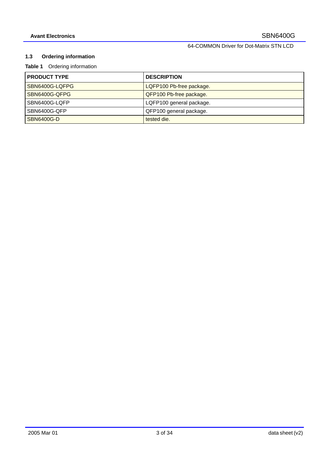# **1.3 Ordering information**

# **Table 1** Ordering information

| <b>PRODUCT TYPE</b> | <b>DESCRIPTION</b>       |
|---------------------|--------------------------|
| SBN6400G-LQFPG      | LQFP100 Pb-free package. |
| SBN6400G-QFPG       | QFP100 Pb-free package.  |
| SBN6400G-LQFP       | LQFP100 general package. |
| SBN6400G-QFP        | QFP100 general package.  |
| <b>SBN6400G-D</b>   | tested die.              |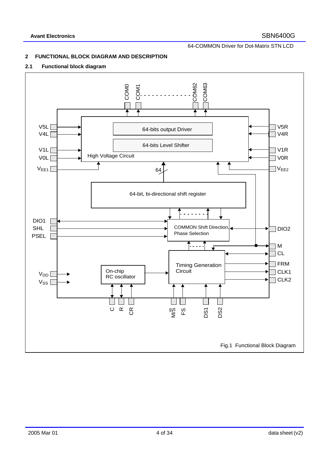# **2 FUNCTIONAL BLOCK DIAGRAM AND DESCRIPTION**

#### **2.1 Functional block diagram**

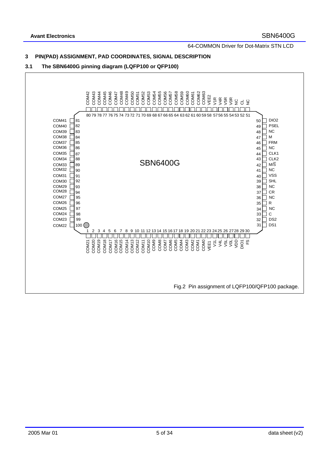# **3 PIN(PAD) ASSIGNMENT, PAD COORDINATES, SIGNAL DESCRIPTION**

# **3.1 The SBN6400G pinning diagram (LQFP100 or QFP100)**

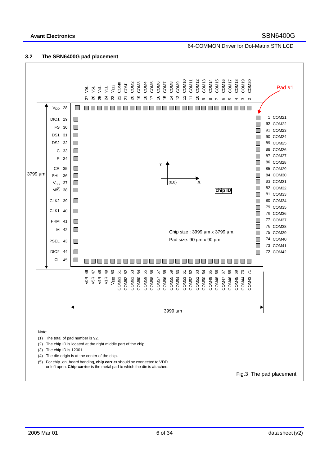# **Avant Electronics** SBN6400G

64-COMMON Driver for Dot-Matrix STN LCD

#### **3.2 The SBN6400G pad placement**

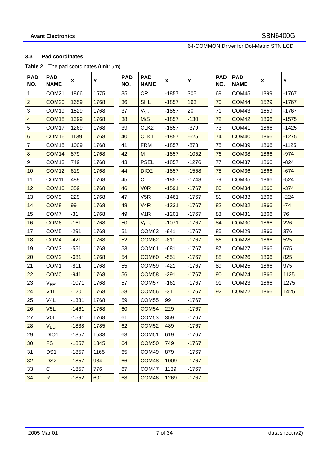# **3.3 Pad coordinates**

# Table 2 The pad coordinates (unit:  $\mu$ m)

| <b>PAD</b><br>NO.       | <b>PAD</b><br><b>NAME</b> | X       | Y    | <b>PAD</b><br>NO. | <b>PAD</b><br><b>NAME</b>  | X       | Y       | <b>PAD</b><br>NO. | <b>PAD</b><br><b>NAME</b> | X    | Υ       |
|-------------------------|---------------------------|---------|------|-------------------|----------------------------|---------|---------|-------------------|---------------------------|------|---------|
| 1                       | COM21                     | 1866    | 1575 | 35                | CR                         | $-1857$ | 305     | 69                | COM45                     | 1399 | $-1767$ |
| $\overline{2}$          | COM <sub>20</sub>         | 1659    | 1768 | 36                | <b>SHL</b>                 | $-1857$ | 163     | 70                | COM44                     | 1529 | $-1767$ |
| 3                       | COM19                     | 1529    | 1768 | 37                | $\mathsf{V}_{\mathsf{SS}}$ | $-1857$ | 20      | 71                | COM43                     | 1659 | $-1767$ |
| $\overline{\mathbf{4}}$ | COM <sub>18</sub>         | 1399    | 1768 | 38                | M/S                        | $-1857$ | $-130$  | 72                | COM <sub>42</sub>         | 1866 | $-1575$ |
| 5                       | COM17                     | 1269    | 1768 | 39                | CLK <sub>2</sub>           | $-1857$ | $-379$  | 73                | COM41                     | 1866 | $-1425$ |
| 6                       | COM <sub>16</sub>         | 1139    | 1768 | 40                | CLK1                       | $-1857$ | $-625$  | 74                | COM40                     | 1866 | $-1275$ |
| $\overline{7}$          | COM <sub>15</sub>         | 1009    | 1768 | 41                | <b>FRM</b>                 | $-1857$ | $-873$  | 75                | COM39                     | 1866 | $-1125$ |
| $\bf 8$                 | COM14                     | 879     | 1768 | 42                | M                          | $-1857$ | $-1052$ | 76                | COM38                     | 1866 | $-974$  |
| 9                       | COM <sub>13</sub>         | 749     | 1768 | 43                | <b>PSEL</b>                | $-1857$ | $-1276$ | 77                | COM37                     | 1866 | $-824$  |
| 10                      | COM <sub>12</sub>         | 619     | 1768 | 44                | DIO <sub>2</sub>           | $-1857$ | $-1558$ | 78                | COM36                     | 1866 | $-674$  |
| 11                      | COM11                     | 489     | 1768 | 45                | <b>CL</b>                  | $-1857$ | $-1748$ | 79                | COM35                     | 1866 | $-524$  |
| 12                      | COM <sub>10</sub>         | 359     | 1768 | 46                | <b>VOR</b>                 | $-1591$ | $-1767$ | 80                | COM34                     | 1866 | $-374$  |
| 13                      | COM <sub>9</sub>          | 229     | 1768 | 47                | V <sub>5</sub> R           | $-1461$ | $-1767$ | 81                | COM33                     | 1866 | $-224$  |
| 14                      | COM <sub>8</sub>          | 99      | 1768 | 48                | V <sub>4</sub> R           | $-1331$ | $-1767$ | 82                | COM <sub>32</sub>         | 1866 | $-74$   |
| 15                      | COM7                      | $-31$   | 1768 | 49                | V <sub>1</sub> R           | $-1201$ | $-1767$ | 83                | COM31                     | 1866 | 76      |
| 16                      | COM <sub>6</sub>          | $-161$  | 1768 | 50                | V <sub>EE2</sub>           | $-1071$ | $-1767$ | 84                | COM30                     | 1866 | 226     |
| 17                      | COM <sub>5</sub>          | $-291$  | 1768 | 51                | COM63                      | $-941$  | $-1767$ | 85                | COM29                     | 1866 | 376     |
| 18                      | COM <sub>4</sub>          | $-421$  | 1768 | 52                | COM62                      | $-811$  | $-1767$ | 86                | COM <sub>28</sub>         | 1866 | 525     |
| 19                      | COM <sub>3</sub>          | $-551$  | 1768 | 53                | COM61                      | $-681$  | $-1767$ | 87                | COM27                     | 1866 | 675     |
| 20                      | COM <sub>2</sub>          | $-681$  | 1768 | 54                | COM60                      | $-551$  | $-1767$ | 88                | COM <sub>26</sub>         | 1866 | 825     |
| 21                      | COM <sub>1</sub>          | $-811$  | 1768 | 55                | COM59                      | $-421$  | $-1767$ | 89                | COM <sub>25</sub>         | 1866 | 975     |
| 22                      | COM <sub>0</sub>          | $-941$  | 1768 | 56                | COM <sub>58</sub>          | $-291$  | $-1767$ | 90                | <b>COM24</b>              | 1866 | 1125    |
| 23                      | $V_{EE1}$                 | $-1071$ | 1768 | 57                | COM <sub>57</sub>          | $-161$  | $-1767$ | 91                | COM <sub>23</sub>         | 1866 | 1275    |
| 24                      | V <sub>1</sub> L          | $-1201$ | 1768 | 58                | COM <sub>56</sub>          | $-31$   | $-1767$ | 92                | COM <sub>22</sub>         | 1866 | 1425    |
| 25                      | V <sub>4</sub> L          | $-1331$ | 1768 | 59                | COM <sub>55</sub>          | 99      | $-1767$ |                   |                           |      |         |
| 26                      | V5L                       | $-1461$ | 1768 | 60                | <b>COM54</b>               | 229     | $-1767$ |                   |                           |      |         |
| 27                      | <b>VOL</b>                | $-1591$ | 1768 | 61                | COM <sub>53</sub>          | 359     | $-1767$ |                   |                           |      |         |
| 28                      | <b>V<sub>DD</sub></b>     | $-1838$ | 1785 | 62                | <b>COM52</b>               | 489     | $-1767$ |                   |                           |      |         |
| 29                      | DIO1                      | $-1857$ | 1533 | 63                | COM51                      | 619     | $-1767$ |                   |                           |      |         |
| 30                      | <b>FS</b>                 | $-1857$ | 1345 | 64                | COM <sub>50</sub>          | 749     | $-1767$ |                   |                           |      |         |
| 31                      | DS <sub>1</sub>           | $-1857$ | 1165 | 65                | COM49                      | 879     | $-1767$ |                   |                           |      |         |
| 32                      | DS <sub>2</sub>           | $-1857$ | 984  | 66                | COM48                      | 1009    | $-1767$ |                   |                           |      |         |
| 33                      | С                         | $-1857$ | 776  | 67                | COM47                      | 1139    | $-1767$ |                   |                           |      |         |
| 34                      | ${\sf R}$                 | $-1852$ | 601  | 68                | COM46                      | 1269    | $-1767$ |                   |                           |      |         |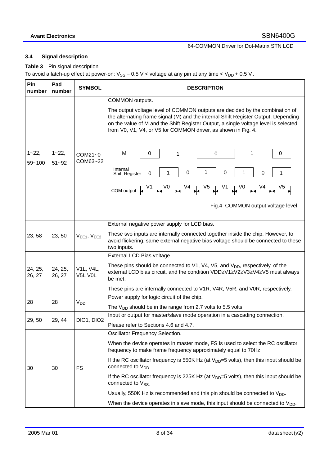# **3.4 Signal description**

**Table 3** Pin signal description

To avoid a latch-up effect at power-on:  $V_{SS} - 0.5$  V < voltage at any pin at any time <  $V_{DD} + 0.5$  V.

| Pin<br>number       | Pad<br>number           | <b>SYMBOL</b>        | <b>DESCRIPTION</b>                                                                                                                                                                                                                                                                                                                                                                                                                                                                                                                                                                                                         |
|---------------------|-------------------------|----------------------|----------------------------------------------------------------------------------------------------------------------------------------------------------------------------------------------------------------------------------------------------------------------------------------------------------------------------------------------------------------------------------------------------------------------------------------------------------------------------------------------------------------------------------------------------------------------------------------------------------------------------|
| $1 - 22,$<br>59~100 | $1 - 22$ ,<br>$51 - 92$ | COM21~0<br>COM63~22  | COMMON outputs.<br>The output voltage level of COMMON outputs are decided by the combination of<br>the alternating frame signal (M) and the internal Shift Register Output. Depending<br>on the value of M and the Shift Register Output, a single voltage level is selected<br>from V0, V1, V4, or V5 for COMMON driver, as shown in Fig. 4.<br>1<br>M<br>0<br>0<br>$\mathbf 0$<br>1<br>Internal<br>1<br>0<br>0<br>1<br>1<br>0<br>1<br>0<br>Shift Register<br>Fig.4 COMMON output voltage level                                                                                                                           |
| 23, 58              | 23, 50                  | $VEE1$ , $VEE2$      | External negative power supply for LCD bias.<br>These two inputs are internally connected together inside the chip. However, to<br>avoid flickering, same external negative bias voltage should be connected to these                                                                                                                                                                                                                                                                                                                                                                                                      |
| 24, 25,<br>26, 27   | 24, 25,<br>26, 27       | V1L, V4L,<br>V5L V0L | two inputs.<br>External LCD Bias voltage.<br>These pins should be connected to $V1$ , $V4$ , $V5$ , and $V_{DD}$ , respectively, of the<br>external LCD bias circuit, and the condition VDD≥V1≥V2≥V3≥V4≥V5 must always<br>be met.<br>These pins are internally connected to V1R, V4R, V5R, and V0R, respectively.                                                                                                                                                                                                                                                                                                          |
| 28                  | 28                      | V <sub>DD</sub>      | Power supply for logic circuit of the chip.<br>The $V_{DD}$ should be in the range from 2.7 volts to 5.5 volts.                                                                                                                                                                                                                                                                                                                                                                                                                                                                                                            |
| 29, 50              | 29, 44                  | DIO1, DIO2           | Input or output for master/slave mode operation in a cascading connection.<br>Please refer to Sections 4.6 and 4.7.                                                                                                                                                                                                                                                                                                                                                                                                                                                                                                        |
| 30                  | 30                      | <b>FS</b>            | Oscillator Frequency Selection.<br>When the device operates in master mode, FS is used to select the RC oscillator<br>frequency to make frame frequency approximately equal to 70Hz.<br>If the RC oscillator frequency is 550K Hz (at $V_{DD} = 5$ volts), then this input should be<br>connected to $V_{DD}$ .<br>If the RC oscillator frequency is 225K Hz (at $V_{DD} = 5$ volts), then this input should be<br>connected to V <sub>SS.</sub><br>Usually, 550K Hz is recommended and this pin should be connected to $V_{DD}$ .<br>When the device operates in slave mode, this input should be connected to $V_{DD}$ . |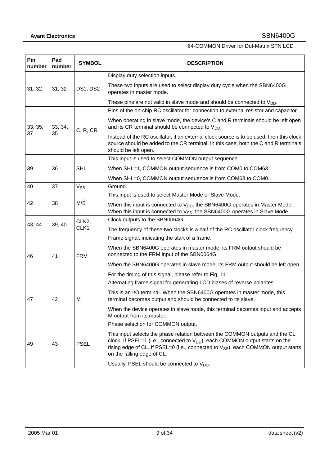| Pin<br>number | Pad<br>number | <b>SYMBOL</b>         | <b>DESCRIPTION</b>                                                                                                                                                                                                                                                                       |
|---------------|---------------|-----------------------|------------------------------------------------------------------------------------------------------------------------------------------------------------------------------------------------------------------------------------------------------------------------------------------|
|               |               |                       | Display duty selection inputs.                                                                                                                                                                                                                                                           |
| 31, 32        | 31, 32        | DS1, DS2              | These two inputs are used to select display duty cycle when the SBN6400G<br>operates in master mode.                                                                                                                                                                                     |
|               |               |                       | These pins are not valid in slave mode and should be connected to $V_{DD}$ .                                                                                                                                                                                                             |
|               |               |                       | Pins of the on-chip RC oscillator for connection to external resistor and capacitor.                                                                                                                                                                                                     |
| 33, 35,       | 33, 34,       | C, R, CR              | When operating in slave mode, the device's C and R terminals should be left open<br>and its CR terminal should be connected to $V_{DD}$ .                                                                                                                                                |
| 37            | 35            |                       | Instead of the RC oscillator, if an external clock source is to be used, then this clock<br>source should be added to the CR terminal. In this case, both the C and R terminals<br>should be left open.                                                                                  |
|               |               |                       | This input is used to select COMMON output sequence                                                                                                                                                                                                                                      |
| 39            | 36            | <b>SHL</b>            | When SHL=1, COMMON output sequence is from COM0 to COM63.                                                                                                                                                                                                                                |
|               |               |                       | When SHL=0, COMMON output sequence is from COM63 to COM0.                                                                                                                                                                                                                                |
| 40            | 37            | <b>V<sub>SS</sub></b> | Ground.                                                                                                                                                                                                                                                                                  |
|               |               |                       | This input is used to select Master Mode or Slave Mode.                                                                                                                                                                                                                                  |
| 42            | 38            | $M/\overline{S}$      | When this input is connected to $V_{DD}$ , the SBN6400G operates in Master Mode.<br>When this input is connected to V <sub>SS</sub> , the SBN6400G operates in Slave Mode.                                                                                                               |
|               |               | CLK2,                 | Clock outputs to the SBN0064G.                                                                                                                                                                                                                                                           |
| 43, 44        | 39, 40        | CLK1                  | The frequency of these two clocks is a half of the RC oscillator clock frequency.                                                                                                                                                                                                        |
|               |               |                       | Frame signal, indicating the start of a frame.                                                                                                                                                                                                                                           |
| 46            | 41            | <b>FRM</b>            | When the SBN6400G operates in master mode, its FRM output should be<br>connected to the FRM input of the SBN0064G.                                                                                                                                                                       |
|               |               |                       | When the SBN6400G operates in slave mode, its FRM output should be left open.                                                                                                                                                                                                            |
|               |               |                       | For the timing of this signal, please refer to Fig. 11                                                                                                                                                                                                                                   |
|               |               |                       | Alternating frame signal for generating LCD biases of reverse polarites.                                                                                                                                                                                                                 |
| 47            | 42            | м                     | This is an I/O terminal. When the SBN6400G operates in master mode, this<br>terminal becomes output and should be connected to its slave.                                                                                                                                                |
|               |               |                       | When the device operates in slave mode, this terminal becomes input and accepts<br>M output from its master.                                                                                                                                                                             |
|               |               |                       | Phase selection for COMMON output.                                                                                                                                                                                                                                                       |
| 49            | 43            | <b>PSEL</b>           | This input selects the phase relation between the COMMON outputs and the CL<br>clock. If PSEL=1 (i.e., connected to $V_{DD}$ ), each COMMON output starts on the<br>rising edge of CL. If PSEL=0 (i.e., connected to $V_{SS}$ ), each COMMON output starts<br>on the falling edge of CL. |
|               |               |                       | Usually, PSEL should be connected to V <sub>DD</sub> .                                                                                                                                                                                                                                   |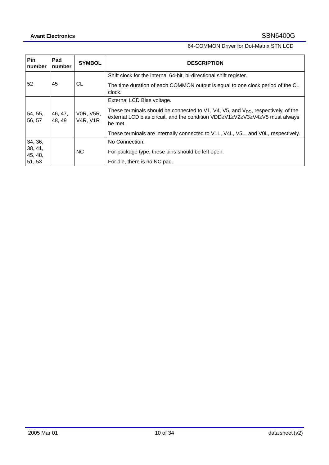| Pin<br>number                           | Pad<br>number     | <b>SYMBOL</b>                       | <b>DESCRIPTION</b>                                                                                                                                                                                                                                                                                        |
|-----------------------------------------|-------------------|-------------------------------------|-----------------------------------------------------------------------------------------------------------------------------------------------------------------------------------------------------------------------------------------------------------------------------------------------------------|
| 52                                      | 45                | СL                                  | Shift clock for the internal 64-bit, bi-directional shift register.<br>The time duration of each COMMON output is equal to one clock period of the CL<br>clock.                                                                                                                                           |
| 54, 55,<br>56, 57                       | 46, 47,<br>48, 49 | <b>VOR, V5R,</b><br><b>V4R, V1R</b> | External LCD Bias voltage.<br>These terminals should be connected to $V1$ , $V4$ , $V5$ , and $VDD$ , respectively, of the<br>external LCD bias circuit, and the condition VDD≥V1≥V2≥V3≥V4≥V5 must always<br>be met.<br>These terminals are internally connected to V1L, V4L, V5L, and V0L, respectively. |
| 34, 36,<br>38, 41,<br>45, 48,<br>51, 53 |                   | <b>NC</b>                           | No Connection.<br>For package type, these pins should be left open.<br>For die, there is no NC pad.                                                                                                                                                                                                       |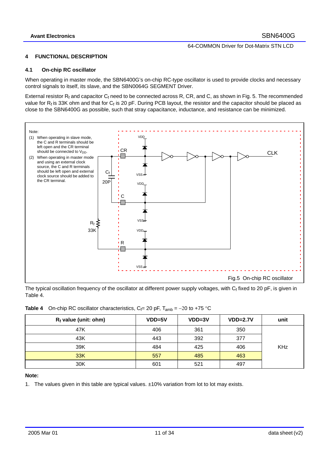#### **4 FUNCTIONAL DESCRIPTION**

#### **4.1 On-chip RC oscillator**

When operating in master mode, the SBN6400G's on-chip RC-type oscillator is used to provide clocks and necessary control signals to itself, its slave, and the SBN0064G SEGMENT Driver.

External resistor  $R_f$  and capacitor  $C_f$  need to be connected across R, CR, and C, as shown in Fig. 5. The recommended value for  $R_f$  is 33K ohm and that for  $C_f$  is 20 pF. During PCB layout, the resistor and the capacitor should be placed as close to the SBN6400G as possible, such that stray capacitance, inductance, and resistance can be minimized.

![](_page_10_Figure_7.jpeg)

The typical oscillation frequency of the oscillator at different power supply voltages, with  $C_f$  fixed to 20 pF, is given in Table 4.

|  | <b>Table 4</b> On-chip RC oscillator characteristics, $C_f = 20$ pF, $T_{amb} = -20$ to +75 °C |  |  |
|--|------------------------------------------------------------------------------------------------|--|--|
|--|------------------------------------------------------------------------------------------------|--|--|

| $R_f$ value (unit: ohm) | $VDD=5V$ | $VDD=3V$ | $VDD=2.7V$ | unit       |
|-------------------------|----------|----------|------------|------------|
| 47K                     | 406      | 361      | 350        |            |
| 43K                     | 443      | 392      | 377        |            |
| 39K                     | 484      | 425      | 406        | <b>KHz</b> |
| 33K                     | 557      | 485      | 463        |            |
| 30K                     | 601      | 521      | 497        |            |

#### **Note:**

1. The values given in this table are typical values. ±10% variation from lot to lot may exists.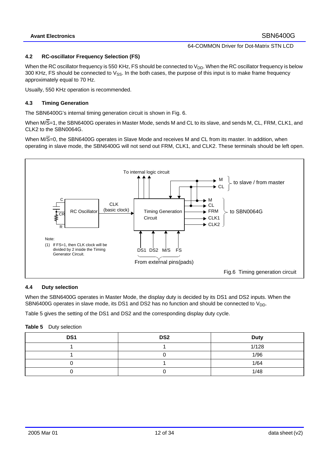#### **4.2 RC-oscillator Frequency Selection (FS)**

When the RC oscillator frequency is 550 KHz, FS should be connected to  $V_{DD}$ . When the RC oscillator frequency is below 300 KHz, FS should be connected to  $V_{SS}$ . In the both cases, the purpose of this input is to make frame frequency approximately equal to 70 Hz.

Usually, 550 KHz operation is recommended.

#### **4.3 Timing Generation**

The SBN6400G's internal timing generation circuit is shown in Fig. 6.

When M/S=1, the SBN6400G operates in Master Mode, sends M and CL to its slave, and sends M, CL, FRM, CLK1, and CLK2 to the SBN0064G.

When M/S=0, the SBN6400G operates in Slave Mode and receives M and CL from its master. In addition, when operating in slave mode, the SBN6400G will not send out FRM, CLK1, and CLK2. These terminals should be left open.

![](_page_11_Figure_10.jpeg)

# **4.4 Duty selection**

When the SBN6400G operates in Master Mode, the display duty is decided by its DS1 and DS2 inputs. When the SBN6400G operates in slave mode, its DS1 and DS2 has no function and should be connected to  $V_{DD}$ .

Table 5 gives the setting of the DS1 and DS2 and the corresponding display duty cycle.

#### **Table 5** Duty selection

| DS1 | DS <sub>2</sub> | <b>Duty</b> |
|-----|-----------------|-------------|
|     |                 | 1/128       |
|     |                 | 1/96        |
|     |                 | 1/64        |
|     |                 | 1/48        |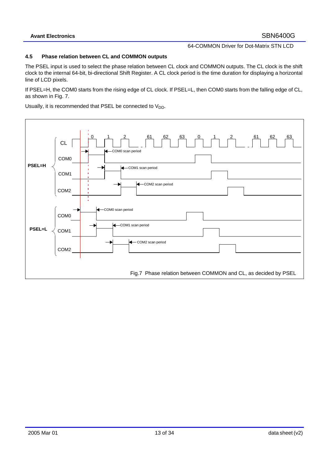#### **4.5 Phase relation between CL and COMMON outputs**

The PSEL input is used to select the phase relation between CL clock and COMMON outputs. The CL clock is the shift clock to the internal 64-bit, bi-directional Shift Register. A CL clock period is the time duration for displaying a horizontal line of LCD pixels.

If PSEL=H, the COM0 starts from the rising edge of CL clock. If PSEL=L, then COM0 starts from the falling edge of CL, as shown in Fig. 7.

Usually, it is recommended that PSEL be connected to  $V_{DD}$ .

![](_page_12_Figure_7.jpeg)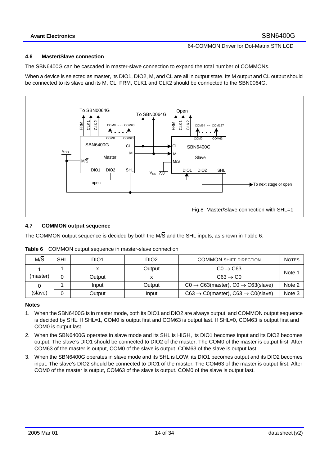### **Avant Electronics** SBN6400G

# 64-COMMON Driver for Dot-Matrix STN LCD

### **4.6 Master/Slave connection**

The SBN6400G can be cascaded in master-slave connection to expand the total number of COMMONs.

When a device is selected as master, its DIO1, DIO2, M, and CL are all in output state. Its M output and CL output should be connected to its slave and its M, CL, FRM, CLK1 and CLK2 should be connected to the SBN0064G.

![](_page_13_Figure_6.jpeg)

#### **4.7 COMMON output sequence**

The COMMON output sequence is decided by both the M/S and the SHL inputs, as shown in Table 6.

| M/S      | <b>SHL</b> | DIO <sub>1</sub> | DIO2   | <b>COMMON SHIFT DIRECTION</b>                               | <b>NOTES</b> |
|----------|------------|------------------|--------|-------------------------------------------------------------|--------------|
|          |            |                  | Output | $CO \rightarrow C63$                                        | Note         |
| (master) | 0          | Output           |        | $C63 \rightarrow C0$                                        |              |
|          |            | Input            | Output | $CO \rightarrow C63(master)$ , $CO \rightarrow C63(slave)$  | Note 2       |
| (slave)  | 0          | Output           | Input  | $C63 \rightarrow C0$ (master), $C63 \rightarrow C0$ (slave) | Note 3       |

#### **Notes**

- 1. When the SBN6400G is in master mode, both its DIO1 and DIO2 are always output, and COMMON output sequence is decided by SHL. If SHL=1, COM0 is output first and COM63 is output last. If SHL=0, COM63 is output first and COM0 is output last.
- 2. When the SBN6400G operates in slave mode and its SHL is HIGH, its DIO1 becomes input and its DIO2 becomes output. The slave's DIO1 should be connected to DIO2 of the master. The COM0 of the master is output first. After COM63 of the master is output, COM0 of the slave is output. COM63 of the slave is output last.
- 3. When the SBN6400G operates in slave mode and its SHL is LOW, its DIO1 becomes output and its DIO2 becomes input. The slave's DIO2 should be connected to DIO1 of the master. The COM63 of the master is output first. After COM0 of the master is output, COM63 of the slave is output. COM0 of the slave is output last.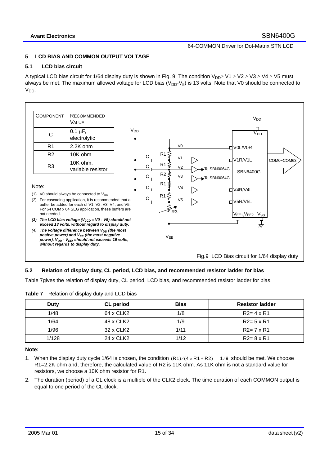# **5 LCD BIAS AND COMMON OUTPUT VOLTAGE**

#### **5.1 LCD bias circuit**

A typical LCD bias circuit for 1/64 display duty is shown in Fig. 9. The condition V<sub>DD</sub>≥ V1 ≥ V2 ≥ V3 ≥ V4 ≥ V5 must always be met. The maximum allowed voltage for LCD bias ( $V_{DD}$ - $V_5$ ) is 13 volts. Note that V0 should be connected to V<sub>DD</sub>.

![](_page_14_Figure_6.jpeg)

### **5.2 Relation of display duty, CL period, LCD bias, and recommended resistor ladder for bias**

Table 7gives the relation of display duty, CL period, LCD bias, and recommended resistor ladder for bias.

| Duty  | <b>CL</b> period | <b>Bias</b> | <b>Resistor ladder</b> |
|-------|------------------|-------------|------------------------|
| 1/48  | 64 x CLK2        | 1/8         | $R2 = 4 \times R1$     |
| 1/64  | 48 x CLK2        | 1/9         | $R2 = 5 \times R1$     |
| 1/96  | 32 x CLK2        | 1/11        | $R2 = 7 \times R1$     |
| 1/128 | 24 x CLK2        | 1/12        | $R2 = 8 \times R1$     |

**Table 7** Relation of display duty and LCD bias

#### **Note:**

- 1. When the display duty cycle 1/64 is chosen, the condition  $(R1)/(4 \times R1 + R2) = 1/9$  should be met. We choose R1=2.2K ohm and, therefore, the calculated value of R2 is 11K ohm. As 11K ohm is not a standard value for resistors, we choose a 10K ohm resistor for R1.
- 2. The duration (period) of a CL clock is a multiple of the CLK2 clock. The time duration of each COMMON output is equal to one period of the CL clock.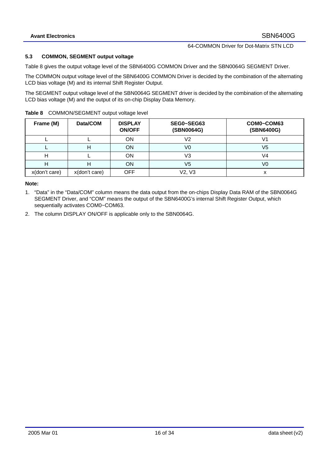#### **5.3 COMMON, SEGMENT output voltage**

Table 8 gives the output voltage level of the SBN6400G COMMON Driver and the SBN0064G SEGMENT Driver.

The COMMON output voltage level of the SBN6400G COMMON Driver is decided by the combination of the alternating LCD bias voltage (M) and its internal Shift Register Output.

The SEGMENT output voltage level of the SBN0064G SEGMENT driver is decided by the combination of the alternating LCD bias voltage (M) and the output of its on-chip Display Data Memory.

| Table 8 COMMON/SEGMENT output voltage level |
|---------------------------------------------|
|---------------------------------------------|

| Frame (M)     | Data/COM      | <b>DISPLAY</b><br><b>ON/OFF</b> | SEG0~SEG63<br>(SBN0064G) | COM0~COM63<br>(SBN6400G) |
|---------------|---------------|---------------------------------|--------------------------|--------------------------|
|               |               | <b>ON</b>                       | V2                       | V1                       |
|               |               | <b>ON</b>                       | V0                       | V5                       |
|               |               | ON                              | V3                       | V4                       |
|               |               | <b>ON</b>                       | V5                       | V0                       |
| x(don't care) | x(don't care) | <b>OFF</b>                      | V2, V3                   |                          |

#### **Note:**

- 1. "Data" in the "Data/COM" column means the data output from the on-chips Display Data RAM of the SBN0064G SEGMENT Driver, and "COM" means the output of the SBN6400G's internal Shift Register Output, which sequentially activates COM0~COM63.
- 2. The column DISPLAY ON/OFF is applicable only to the SBN0064G.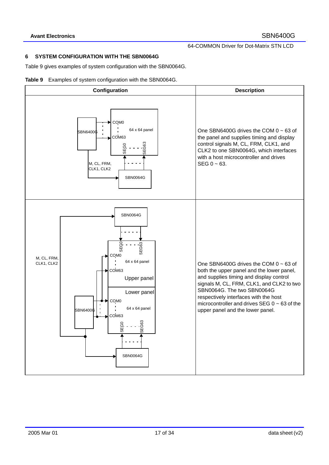#### **6 SYSTEM CONFIGURATION WITH THE SBN0064G**

Table 9 gives examples of system configuration with the SBN0064G.

![](_page_16_Figure_5.jpeg)

![](_page_16_Figure_6.jpeg)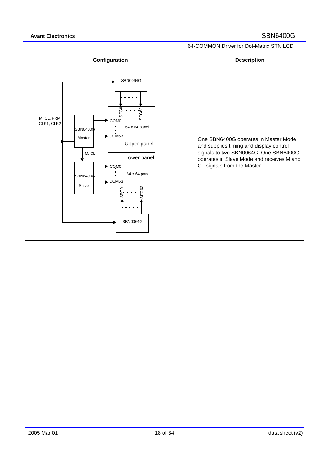![](_page_17_Figure_3.jpeg)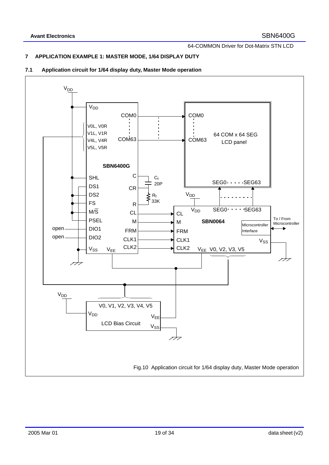# **7 APPLICATION EXAMPLE 1: MASTER MODE, 1/64 DISPLAY DUTY**

# **7.1 Application circuit for 1/64 display duty, Master Mode operation**

![](_page_18_Figure_5.jpeg)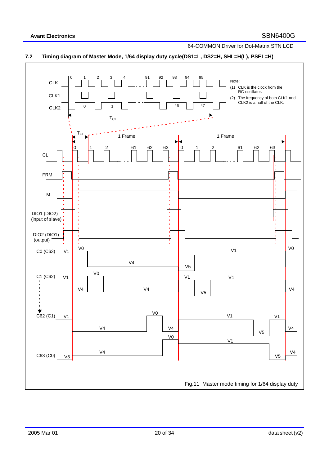![](_page_19_Figure_2.jpeg)

![](_page_19_Figure_3.jpeg)

# **7.2 Timing diagram of Master Mode, 1/64 display duty cycle(DS1=L, DS2=H, SHL=H(L), PSEL=H)**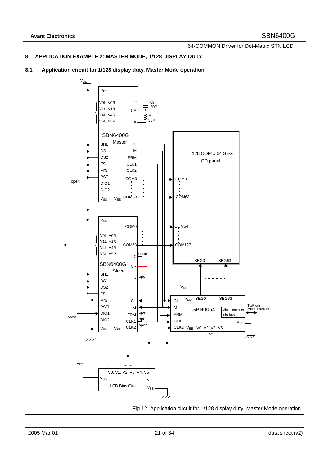### **8 APPLICATION EXAMPLE 2: MASTER MODE, 1/128 DISPLAY DUTY**

![](_page_20_Figure_4.jpeg)

![](_page_20_Figure_5.jpeg)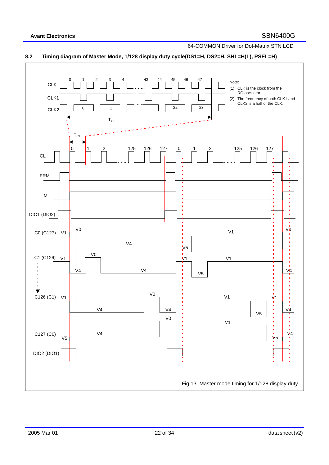![](_page_21_Figure_2.jpeg)

![](_page_21_Figure_3.jpeg)

# **8.2 Timing diagram of Master Mode, 1/128 display duty cycle(DS1=H, DS2=H, SHL=H(L), PSEL=H)**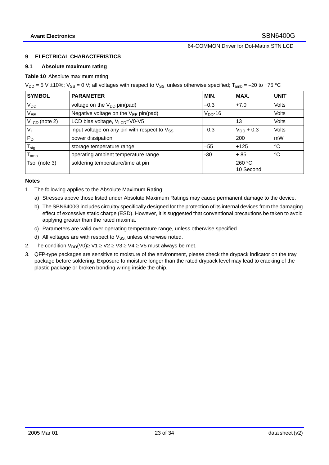#### **9 ELECTRICAL CHARACTERISTICS**

#### **9.1 Absolute maximum rating**

#### **Table 10** Absolute maximum rating

 $V_{DD}$  = 5 V ±10%; V<sub>SS</sub> = 0 V; all voltages with respect to V<sub>SS</sub>, unless otherwise specified; T<sub>amb</sub> = −20 to +75 °C

| <b>SYMBOL</b>               | <b>PARAMETER</b>                                  | MIN.         | MAX.                          | <b>UNIT</b>     |
|-----------------------------|---------------------------------------------------|--------------|-------------------------------|-----------------|
| <b>V<sub>DD</sub></b>       | voltage on the V <sub>DD</sub> pin(pad)           | $-0.3$       | $+7.0$                        | Volts           |
| V <sub>EE</sub>             | Negative voltage on the $V_{EE}$ pin(pad)         | $V_{DD}$ -16 |                               | <b>Volts</b>    |
| $VLCD$ (note 2)             | LCD bias voltage, V <sub>LCD</sub> =V0-V5         |              | 13                            | Volts           |
| $V_{1}$                     | input voltage on any pin with respect to $V_{SS}$ | $-0.3$       | $V_{DD}$ + 0.3                | Volts           |
| $P_D$                       | power dissipation                                 |              | 200                           | mW              |
| $T_{\text{stg}}$            | storage temperature range                         | $-55$        | $+125$                        | $\rm ^{\circ}C$ |
| $\mathsf{T}_{\mathsf{amb}}$ | operating ambient temperature range               | -30          | $+85$                         | $^{\circ}C$     |
| Tsol (note 3)               | soldering temperature/time at pin                 |              | 260 $\degree$ C,<br>10 Second |                 |

#### **Notes**

- 1. The following applies to the Absolute Maximum Rating:
	- a) Stresses above those listed under Absolute Maximum Ratings may cause permanent damage to the device.
	- b) The SBN6400G includes circuitry specifically designed for the protection of its internal devices from the damaging effect of excessive static charge (ESD). However, it is suggested that conventional precautions be taken to avoid applying greater than the rated maxima.
	- c) Parameters are valid over operating temperature range, unless otherwise specified.
	- d) All voltages are with respect to  $V_{SS}$  unless otherwise noted.
- 2. The condition  $V_{DD}(V0) \geq V1 \geq V2 \geq V3 \geq V4 \geq V5$  must always be met.
- 3. QFP-type packages are sensitive to moisture of the environment, please check the drypack indicator on the tray package before soldering. Exposure to moisture longer than the rated drypack level may lead to cracking of the plastic package or broken bonding wiring inside the chip.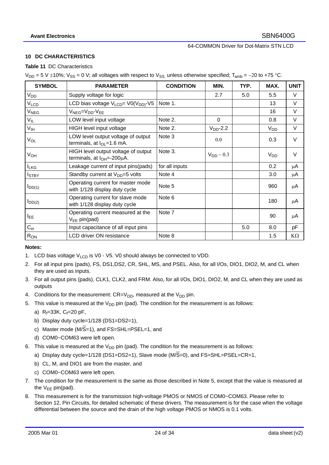#### **10 DC CHARACTERISTICS**

#### **Table 11** DC Characteristics

 $V_{DD}$  = 5 V ±10%;  $V_{SS}$  = 0 V; all voltages with respect to  $V_{SS}$  unless otherwise specified; T<sub>amb</sub> = −20 to +75 °C.

| <b>SYMBOL</b>          | <b>PARAMETER</b>                                                             | <b>CONDITION</b> | MIN.           | TYP. | MAX.                  | <b>UNIT</b> |
|------------------------|------------------------------------------------------------------------------|------------------|----------------|------|-----------------------|-------------|
| <b>V<sub>DD</sub></b>  | Supply voltage for logic                                                     |                  | 2.7            | 5.0  | 5.5                   | $\vee$      |
| V <sub>LCD</sub>       | LCD bias voltage V <sub>LCD</sub> = V0(V <sub>DD)</sub> -V5                  | Note 1.          |                |      | 13                    | V           |
| <b>V<sub>NEG</sub></b> | V <sub>NEG</sub> =V <sub>DD</sub> -V <sub>EE</sub>                           |                  |                |      | 16                    | $\vee$      |
| $V_{IL}$               | LOW level input voltage                                                      | Note 2.          | $\Omega$       |      | 0.8                   | $\vee$      |
| V <sub>IH</sub>        | HIGH level input voltage                                                     | Note 2.          | $VDD$ -2.2     |      | V <sub>DD</sub>       | V           |
| $V_{OL}$               | LOW level output voltage of output<br>terminals, at $I_{OL} = 1.6$ mA.       | Note 3           | 0.0            |      | 0.3                   | $\vee$      |
| <b>V<sub>OH</sub></b>  | HIGH level output voltage of output<br>terminals, at $I_{OH} = -200 \mu A$ . | Note 3.          | $V_{DD}$ – 0.3 |      | <b>V<sub>DD</sub></b> | $\vee$      |
| <b>ILKG</b>            | Leakage current of input pins(pads)                                          | for all inputs   |                |      | 0.2                   | μA          |
| <b>I</b> STBY          | Standby current at $V_{DD} = 5$ volts                                        | Note 4           |                |      | 3.0                   | μA          |
| $I_{DD(1)}$            | Operating current for master mode<br>with 1/128 display duty cycle           | Note 5           |                |      | 960                   | μA          |
| $I_{DD(2)}$            | Operating current for slave mode<br>with 1/128 display duty cycle            | Note 6           |                |      | 180                   | μA          |
| <b>IEE</b>             | Operating current measured at the<br>$V_{EE}$ pin(pad)                       | Note 7           |                |      | 90                    | μA          |
| $C_{in}$               | Input capacitance of all input pins                                          |                  |                | 5.0  | 8.0                   | pF          |
| $R_{ON}$               | LCD driver ON resistance                                                     | Note 8           |                |      | 1.5                   | $K\Omega$   |

#### **Notes:**

- 1. LCD bias voltage  $V_{LCD}$  is V0 V5. V0 should always be connected to VDD.
- 2. For all input pins (pads), FS, DS1,DS2, CR, SHL, MS, and PSEL. Also, for all I/Os, DIO1, DIO2, M, and CL when they are used as inputs.
- 3. For all output pins (pads), CLK1, CLK2, and FRM. Also, for all I/Os, DIO1, DIO2, M, and CL when they are used as outputs
- 4. Conditions for the measurement:  $CR = V_{DD}$ , measured at the  $V_{DD}$  pin.
- 5. This value is measured at the  $V_{DD}$  pin (pad). The condition for the measurement is as follows:
	- a)  $R_f = 33K$ ,  $C_f = 20$  pF,
	- b) Display duty cycle=1/128 (DS1=DS2=1),
	- c) Master mode ( $M/\overline{S}=1$ ), and  $FS=SHL=PSEL=1$ , and
	- d) COM0~COM63 were left open.
- 6. This value is measured at the  $V_{DD}$  pin (pad). The condition for the measurement is as follows:
	- a) Display duty cycle=1/128 (DS1=DS2=1), Slave mode (M/S=0), and FS=SHL=PSEL=CR=1,
	- b) CL, M, and DIO1 are from the master, and
	- c) COM0~COM63 were left open.
- 7. The condition for the measurement is the same as those described in Note 5, except that the value is measured at the  $V_{EE}$  pin(pad).
- 8. This measurement is for the transmission high-voltage PMOS or NMOS of COM0~COM63. Please refer to Section 12, Pin Circuits, for detailed schematic of these drivers. The measurement is for the case when the voltage differential between the source and the drain of the high voltage PMOS or NMOS is 0.1 volts.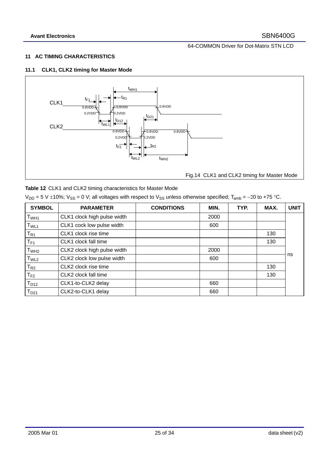# **11 AC TIMING CHARACTERISTICS**

# **11.1 CLK1, CLK2 timing for Master Mode**

![](_page_24_Figure_5.jpeg)

 $V_{DD} = 5$  V ±10%;  $V_{SS} = 0$  V; all voltages with respect to  $V_{SS}$  unless otherwise specified; T<sub>amb</sub> = −20 to +75 °C.

| <b>SYMBOL</b>    | <b>PARAMETER</b>            | <b>CONDITIONS</b> | MIN. | TYP. | MAX. | <b>UNIT</b> |
|------------------|-----------------------------|-------------------|------|------|------|-------------|
| T <sub>WH1</sub> | CLK1 clock high pulse width |                   | 2000 |      |      |             |
| T <sub>WL1</sub> | CLK1 cock low pulse width   |                   | 600  |      |      |             |
| $T_{R1}$         | CLK1 clock rise time        |                   |      |      | 130  |             |
| $T_{F1}$         | CLK1 clock fall time        |                   |      |      | 130  |             |
| T <sub>WH2</sub> | CLK2 clock high pulse width |                   | 2000 |      |      |             |
| T <sub>WL2</sub> | CLK2 clock low pulse width  |                   | 600  |      |      | ns          |
| $T_{R2}$         | CLK2 clock rise time        |                   |      |      | 130  |             |
| $T_{F2}$         | CLK2 clock fall time        |                   |      |      | 130  |             |
| $T_{D12}$        | CLK1-to-CLK2 delay          |                   | 660  |      |      |             |
| $T_{D21}$        | CLK2-to-CLK1 delay          |                   | 660  |      |      |             |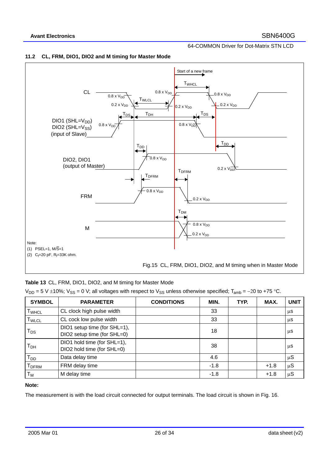![](_page_25_Figure_2.jpeg)

![](_page_25_Figure_3.jpeg)

#### **11.2 CL, FRM, DIO1, DIO2 and M timing for Master Mode**

**Table 13** CL, FRM, DIO1, DIO2, and M timing for Master Mode

|  |  |  |  |  |  | $V_{DD}$ = 5 V ±10%; V <sub>SS</sub> = 0 V; all voltages with respect to V <sub>SS</sub> unless otherwise specified; T <sub>amb</sub> = -20 to +75 °C. |
|--|--|--|--|--|--|--------------------------------------------------------------------------------------------------------------------------------------------------------|
|--|--|--|--|--|--|--------------------------------------------------------------------------------------------------------------------------------------------------------|

| <b>SYMBOL</b>                | <b>PARAMETER</b>                                            | <b>CONDITIONS</b> | MIN.   | TYP. | MAX.   | <b>UNIT</b> |
|------------------------------|-------------------------------------------------------------|-------------------|--------|------|--------|-------------|
| T <sub>WHCL</sub>            | CL clock high pulse width                                   |                   | 33     |      |        | μS          |
| $\mathsf{T}_{\mathsf{WLCL}}$ | CL cock low pulse width                                     |                   | 33     |      |        | μS          |
| $\mathsf{T}_{\mathsf{DS}}$   | DIO1 setup time (for SHL=1),<br>DIO2 setup time (for SHL=0) |                   | 18     |      |        | μS          |
| Т <sub>рн</sub>              | DIO1 hold time (for SHL=1),<br>DIO2 hold time (for SHL=0)   |                   | 38     |      |        | μS          |
| $T_{DD}$                     | Data delay time                                             |                   | 4.6    |      |        | μS          |
| T <sub>DFRM</sub>            | FRM delay time                                              |                   | $-1.8$ |      | $+1.8$ | $\mu S$     |
| Т <sub>м</sub>               | M delay time                                                |                   | $-1.8$ |      | $+1.8$ | μS          |

### **Note:**

The measurement is with the load circuit connected for output terminals. The load circuit is shown in Fig. 16.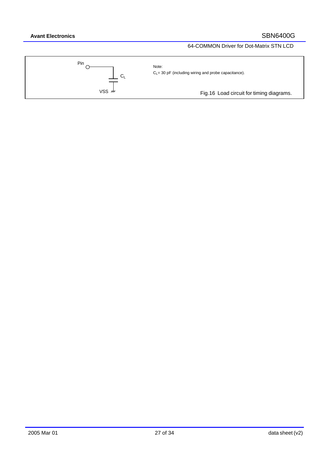![](_page_26_Figure_3.jpeg)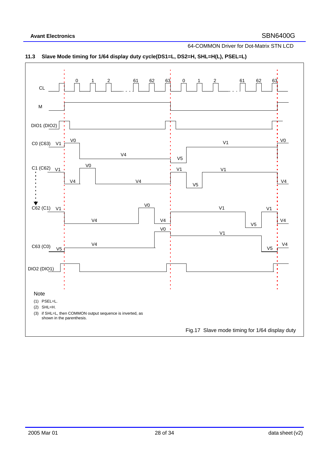![](_page_27_Figure_3.jpeg)

# **11.3 Slave Mode timing for 1/64 display duty cycle(DS1=L, DS2=H, SHL=H(L), PSEL=L)**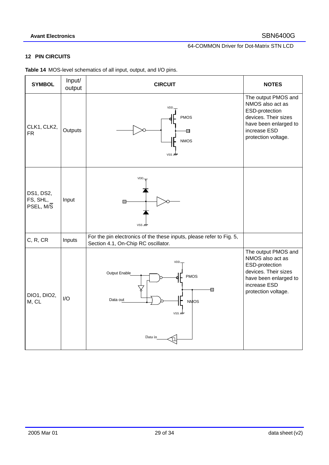# **12 PIN CIRCUITS**

| <b>SYMBOL</b>                      | Input/<br>output | <b>CIRCUIT</b>                                                                                              | <b>NOTES</b>                                                                                                                                      |
|------------------------------------|------------------|-------------------------------------------------------------------------------------------------------------|---------------------------------------------------------------------------------------------------------------------------------------------------|
| CLK1, CLK2,<br><b>FR</b>           | Outputs          | VDD<br><b>PMOS</b><br>О<br><b>NMOS</b><br>VSS m                                                             | The output PMOS and<br>NMOS also act as<br>ESD-protection<br>devices. Their sizes<br>have been enlarged to<br>increase ESD<br>protection voltage. |
| DS1, DS2,<br>FS, SHL,<br>PSEL, M/S | Input            | VDD.<br>П<br>VSS m                                                                                          |                                                                                                                                                   |
| C, R, CR                           | Inputs           | For the pin electronics of the these inputs, please refer to Fig. 5,<br>Section 4.1, On-Chip RC oscillator. |                                                                                                                                                   |
| DIO1, DIO2,<br>M, CL               | $\mathsf{IO}$    | VDD<br>Output Enable<br><b>PMOS</b><br>П<br>Data out<br><b>NMOS</b><br>VSS m<br>Data in<br>П                | The output PMOS and<br>NMOS also act as<br>ESD-protection<br>devices. Their sizes<br>have been enlarged to<br>increase ESD<br>protection voltage. |

**Table 14** MOS-level schematics of all input, output, and I/O pins.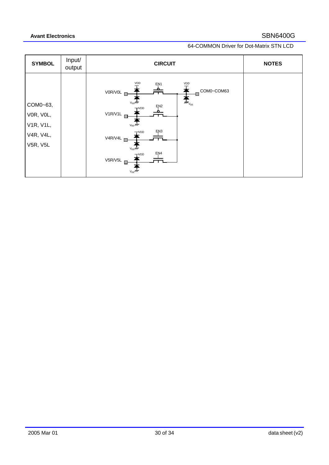| <b>SYMBOL</b>                                               | Input/<br>output | <b>CIRCUIT</b>                                                                                                                                                                                                                     | <b>NOTES</b> |
|-------------------------------------------------------------|------------------|------------------------------------------------------------------------------------------------------------------------------------------------------------------------------------------------------------------------------------|--------------|
| COM0~63,<br>VOR, VOL,<br>V1R, V1L,<br>V4R, V4L,<br>V5R, V5L |                  | <b>VDD</b><br>VDD<br>EN <sub>1</sub><br>COM0~COM63<br>V0R/V0L<br>$m_{\rm V_{EE}}$<br>EN <sub>2</sub><br>TVDD<br>V1R/V1L<br>$V_{FF}$<br>EN <sub>3</sub><br>$+$ VDD<br>V4R/V4L<br>$V_{EE}$ ///<br>EN4<br>T <sub>VDD</sub><br>V5R/V5L |              |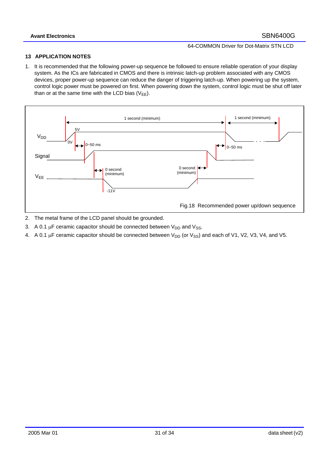### **13 APPLICATION NOTES**

1. It is recommended that the following power-up sequence be followed to ensure reliable operation of your display system. As the ICs are fabricated in CMOS and there is intrinsic latch-up problem associated with any CMOS devices, proper power-up sequence can reduce the danger of triggering latch-up. When powering up the system, control logic power must be powered on first. When powering down the system, control logic must be shut off later than or at the same time with the LCD bias  $(V_{FF})$ .

![](_page_30_Figure_5.jpeg)

- 2. The metal frame of the LCD panel should be grounded.
- 3. A 0.1  $\mu$ F ceramic capacitor should be connected between  $V_{DD}$  and  $V_{SS}$ .
- 4. A 0.1  $\mu$ F ceramic capacitor should be connected between V<sub>DD</sub> (or V<sub>SS</sub>) and each of V1, V2, V3, V4, and V5.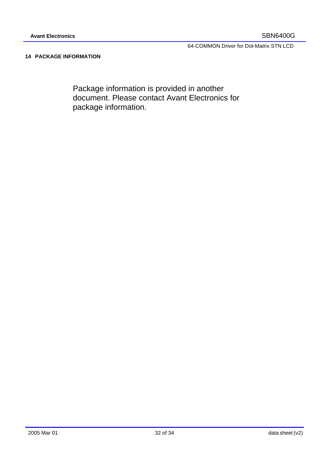# **14 PACKAGE INFORMATION**

Package information is provided in another document. Please contact Avant Electronics for package information.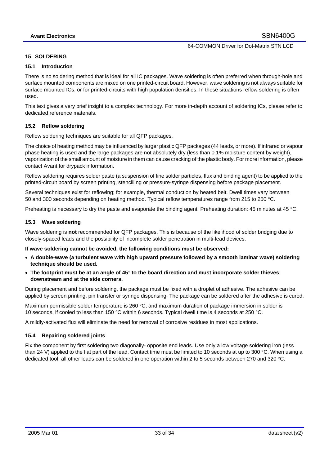#### **15 SOLDERING**

#### **15.1 Introduction**

There is no soldering method that is ideal for all IC packages. Wave soldering is often preferred when through-hole and surface mounted components are mixed on one printed-circuit board. However, wave soldering is not always suitable for surface mounted ICs, or for printed-circuits with high population densities. In these situations reflow soldering is often used.

This text gives a very brief insight to a complex technology. For more in-depth account of soldering ICs, please refer to dedicated reference materials.

#### **15.2 Reflow soldering**

Reflow soldering techniques are suitable for all QFP packages.

The choice of heating method may be influenced by larger plastic QFP packages (44 leads, or more). If infrared or vapour phase heating is used and the large packages are not absolutely dry (less than 0.1% moisture content by weight), vaporization of the small amount of moisture in them can cause cracking of the plastic body. For more information, please contact Avant for drypack information.

Reflow soldering requires solder paste (a suspension of fine solder particles, flux and binding agent) to be applied to the printed-circuit board by screen printing, stencilling or pressure-syringe dispensing before package placement.

Several techniques exist for reflowing; for example, thermal conduction by heated belt. Dwell times vary between 50 and 300 seconds depending on heating method. Typical reflow temperatures range from 215 to 250 °C.

Preheating is necessary to dry the paste and evaporate the binding agent. Preheating duration: 45 minutes at 45 °C.

#### **15.3 Wave soldering**

Wave soldering is **not** recommended for QFP packages. This is because of the likelihood of solder bridging due to closely-spaced leads and the possibility of incomplete solder penetration in multi-lead devices.

#### **If wave soldering cannot be avoided, the following conditions must be observed:**

- **A double-wave (a turbulent wave with high upward pressure followed by a smooth laminar wave) soldering technique should be used.**
- **The footprint must be at an angle of 45**° **to the board direction and must incorporate solder thieves downstream and at the side corners.**

During placement and before soldering, the package must be fixed with a droplet of adhesive. The adhesive can be applied by screen printing, pin transfer or syringe dispensing. The package can be soldered after the adhesive is cured.

Maximum permissible solder temperature is 260 °C, and maximum duration of package immersion in solder is 10 seconds, if cooled to less than 150 °C within 6 seconds. Typical dwell time is 4 seconds at 250 °C.

A mildly-activated flux will eliminate the need for removal of corrosive residues in most applications.

#### **15.4 Repairing soldered joints**

Fix the component by first soldering two diagonally- opposite end leads. Use only a low voltage soldering iron (less than 24 V) applied to the flat part of the lead. Contact time must be limited to 10 seconds at up to 300  $\degree$ C. When using a dedicated tool, all other leads can be soldered in one operation within 2 to 5 seconds between 270 and 320 °C.